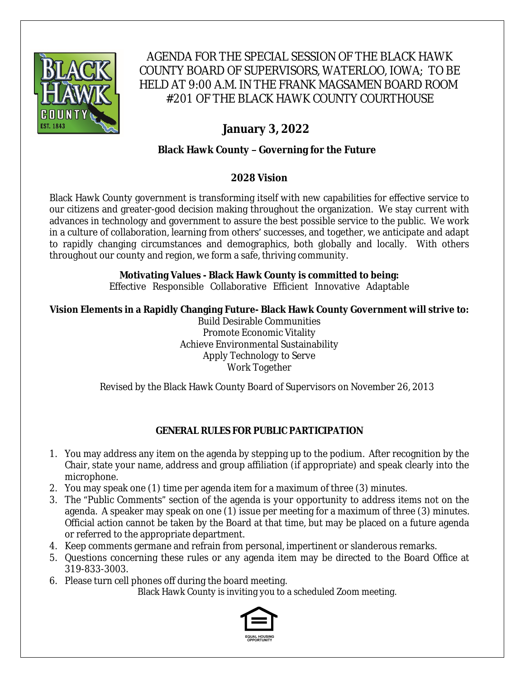

AGENDA FOR THE SPECIAL SESSION OF THE BLACK HAWK COUNTY BOARD OF SUPERVISORS, WATERLOO, IOWA; TO BE HELD AT 9:00 A.M. IN THE FRANK MAGSAMEN BOARD ROOM #201 OF THE BLACK HAWK COUNTY COURTHOUSE

# **January 3, 2022**

# **Black Hawk County – Governing for the Future**

# **2028 Vision**

Black Hawk County government is transforming itself with new capabilities for effective service to our citizens and greater-good decision making throughout the organization. We stay current with advances in technology and government to assure the best possible service to the public. We work in a culture of collaboration, learning from others' successes, and together, we anticipate and adapt to rapidly changing circumstances and demographics, both globally and locally. With others throughout our county and region, we form a safe, thriving community.

# **Motivating Values - Black Hawk County is committed to being:**

Effective Responsible Collaborative Efficient Innovative Adaptable

# **Vision Elements in a Rapidly Changing Future- Black Hawk County Government will strive to:**

Build Desirable Communities Promote Economic Vitality Achieve Environmental Sustainability Apply Technology to Serve Work Together

Revised by the Black Hawk County Board of Supervisors on November 26, 2013

### **GENERAL RULES FOR PUBLIC PARTICIPATION**

- 1. You may address any item on the agenda by stepping up to the podium. After recognition by the Chair, state your name, address and group affiliation (if appropriate) and speak clearly into the microphone.
- 2. You may speak one (1) time per agenda item for a maximum of three (3) minutes.
- 3. The "Public Comments" section of the agenda is your opportunity to address items not on the agenda. A speaker may speak on one (1) issue per meeting for a maximum of three (3) minutes. Official action cannot be taken by the Board at that time, but may be placed on a future agenda or referred to the appropriate department.
- 4. Keep comments germane and refrain from personal, impertinent or slanderous remarks.
- 5. Questions concerning these rules or any agenda item may be directed to the Board Office at 319-833-3003.
- 6. Please turn cell phones off during the board meeting.

Black Hawk County is inviting you to a scheduled Zoom meeting.

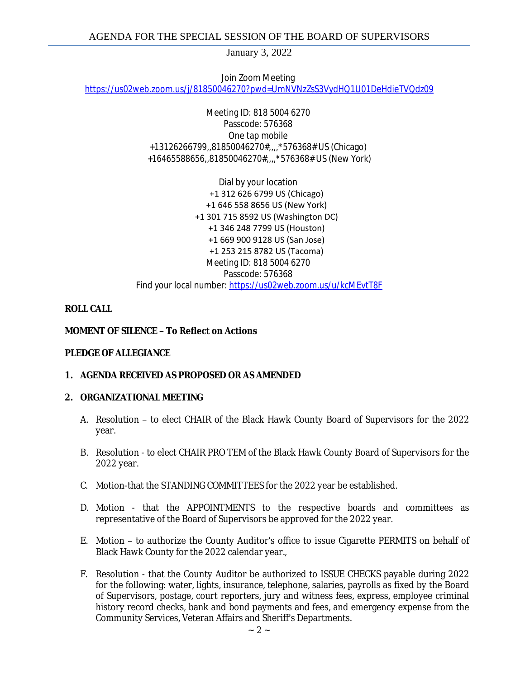January 3, 2022

Join Zoom Meeting [https://us02web.zoom.us/j/81850046270?pwd=UmNVNzZsS3VydHQ1U01DeHdieTVQdz09](https://gcc02.safelinks.protection.outlook.com/?url=https%3A%2F%2Fus02web.zoom.us%2Fj%2F81850046270%3Fpwd%3DUmNVNzZsS3VydHQ1U01DeHdieTVQdz09&data=04%7C01%7Cllamb%40blackhawkcounty.iowa.gov%7Cbcf86627f59b49f3a36108d9cbb49f01%7C9960f5b6faae4bb3a122c43aceeaa06d%7C0%7C0%7C637764798896880865%7CUnknown%7CTWFpbGZsb3d8eyJWIjoiMC4wLjAwMDAiLCJQIjoiV2luMzIiLCJBTiI6Ik1haWwiLCJXVCI6Mn0%3D%7C3000&sdata=rfMALYX0mjgqCWzrFz345DEVBrDCifydOgSxGw3j9c8%3D&reserved=0)

> Meeting ID: 818 5004 6270 Passcode: 576368 One tap mobile +13126266799,,81850046270#,,,,\*576368# US (Chicago) +16465588656,,81850046270#,,,,\*576368# US (New York)

Dial by your location +1 312 626 6799 US (Chicago) +1 646 558 8656 US (New York) +1 301 715 8592 US (Washington DC) +1 346 248 7799 US (Houston) +1 669 900 9128 US (San Jose) +1 253 215 8782 US (Tacoma) Meeting ID: 818 5004 6270 Passcode: 576368 Find your local number: [https://us02web.zoom.us/u/kcMEvtT8F](https://gcc02.safelinks.protection.outlook.com/?url=https%3A%2F%2Fus02web.zoom.us%2Fu%2FkcMEvtT8F&data=04%7C01%7Cllamb%40blackhawkcounty.iowa.gov%7Cbcf86627f59b49f3a36108d9cbb49f01%7C9960f5b6faae4bb3a122c43aceeaa06d%7C0%7C0%7C637764798896890827%7CUnknown%7CTWFpbGZsb3d8eyJWIjoiMC4wLjAwMDAiLCJQIjoiV2luMzIiLCJBTiI6Ik1haWwiLCJXVCI6Mn0%3D%7C3000&sdata=iLnx6i%2BX2EgXhnEr7ZtBHEnKcj%2BX8GfdYSXwiZuBnOY%3D&reserved=0)

#### **ROLL CALL**

#### **MOMENT OF SILENCE – To Reflect on Actions**

#### **PLEDGE OF ALLEGIANCE**

### **1. AGENDA RECEIVED AS PROPOSED OR AS AMENDED**

#### **2. ORGANIZATIONAL MEETING**

- A. Resolution to elect CHAIR of the Black Hawk County Board of Supervisors for the 2022 year.
- B. Resolution to elect CHAIR PRO TEM of the Black Hawk County Board of Supervisors for the 2022 year.
- C. Motion-that the STANDING COMMITTEES for the 2022 year be established.
- D. Motion that the APPOINTMENTS to the respective boards and committees as representative of the Board of Supervisors be approved for the 2022 year.
- E. Motion to authorize the County Auditor's office to issue Cigarette PERMITS on behalf of Black Hawk County for the 2022 calendar year.,
- F. Resolution that the County Auditor be authorized to ISSUE CHECKS payable during 2022 for the following: water, lights, insurance, telephone, salaries, payrolls as fixed by the Board of Supervisors, postage, court reporters, jury and witness fees, express, employee criminal history record checks, bank and bond payments and fees, and emergency expense from the Community Services, Veteran Affairs and Sheriff's Departments.